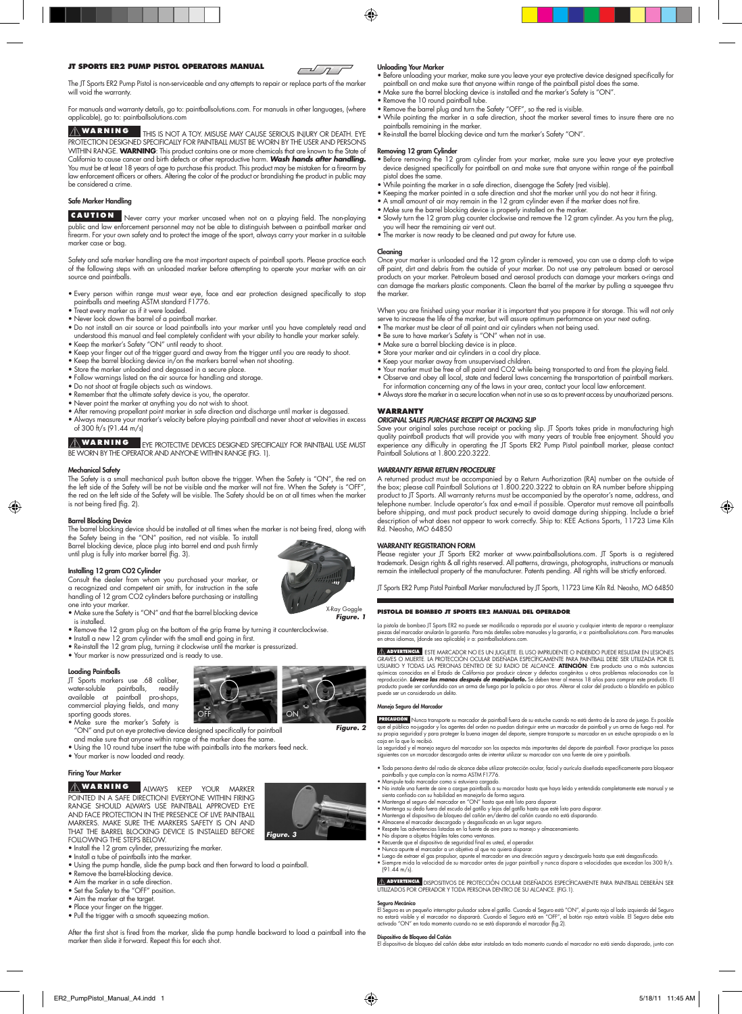## **JT SPORTS ER2 PUMP PISTOL OPERATORS MANUAL**

 $\sqrt{11}$ 

⊕

The JT Sports ER2 Pump Pistol is non-serviceable and any attempts to repair or replace parts of the marker will void the warranty

For manuals and warranty details, go to: paintballsolutions.com. For manuals in other languages, (where applicable), go to: paintballsolutions.com

THIS IS NOT A TOY. MISUSE MAY CAUSE SERIOUS INJURY OR DEATH. EYE PROTECTION DESIGNED SPECIFICALLY FOR PAINTBALL MUST BE WORN BY THE USER AND PERSONS WITHIN RANGE. WARNING: This product contains one or more chemicals that are known to the State of<br>California to cause cancer and birth defects or other reproductive harm. Wash hands after handling.<br>You must be at least 18 be considered a crime. **Warnin g**

## Safe Marker Handling

# **CAUTION**

 Never carry your marker uncased when not on a playing field. The non-playing public and law enforcement personnel may not be able to distinguish between a paintball marker and firearm. For your own safety and to protect the image of the sport, always carry your marker in a suitable marker case or bag.

Safety and safe marker handling are the most important aspects of paintball sports. Please practice each of the following steps with an unloaded marker before attempting to operate your marker with an air source and paintballs.

• Every person within range must wear eye, face and ear protection designed specifically to stop<br>• Traat every marker as if it were loaded.<br>• Treat every marker as if it were loaded.<br>• Never look down the barrel of a paint

- 
- 
- understood this manual and feel completely confident with your ability to handle your marker safely.
- 
- Keep the marker's Safety "ON" until ready to shoot.<br>• Keep your finger out of the trigger guard and away from the trigger until you are ready to shoot.<br>• Keep the barrel blocking device in/on the markers barrel when not
- 
- 
- 
- Do not shoot at fragile objects such as windows.
- 
- 
- Remember that the ultimate safety device is you, the operator.<br>• Never point the marker at anything you do not wish to shoot.<br>• After removing propellant point marker in safe direction and discharge until marker is degas of 300 ft/s (91.44 m/s)
- 

ZIN WARNING FYE PROTECTIVE DEVICES DESIGNED SPECIFICALLY FOR PAINTBALL USE M<br>BE WORN BY THE OPERATOR AND ANYONE WITHIN RANGE (FIG. 1). **Warnin g**

## Mechanical Safety

⊕

The Safety is a small mechanical push button above the trigger. When the Safety is "ON", the red on<br>the left side of the Safety will be not be visible and the marker will not fire. When the Safety is "OFF",<br>the red on the is not being fired (fig. 2).

# Barrel Blocking Device

The barrel blocking device should be installed at all times when the marker is not being fired, along with the Safety being in the "ON" position, red not visible. To install Barrel blocking device, place plug into barrel end and push firmly until plug is fully into marker barrel (fig. 3).

# Installing 12 gram CO2 Cylinder

Consult the dealer from whom you purchased your marker, or a recognized and competent air smith, for instruction in the safe handling of 12 gram CO2 cylinders before purchasing or installing one into your marker.

- Make sure the Safety is "ON" and that the barrel blocking device is installed.
- Remove the 12 gram plug on the bottom of the grip frame by turning it counterclockwise.
- Install a new 12 gram cylinder with the small end going in first.
- Re-install the 12 gram plug, turning it clockwise until the marker is pressurized. Your marker is now pressurized and is ready to use.
- 

## Loading Paintballs

JT Sports markers use .68 caliber, water-soluble paintballs, readily available at paintball pro-shops, commercial playing fields, and many sporting goods stores.



*Figure. 3*

*Figure. 2*

ER2\_PumpPistol\_Manual\_A4.indd 1 5/18/11 11:45 AM

*Figure. 1* X-Ray Goggle

• Make sure the marker's Safety is "ON" and put on eye protective device designed specifically for paintball

and make sure that anyone within range of the marker does the same. • Using the 10 round tube insert the tube with paintballs into the markers feed neck.

- Your marker is now loaded and ready.
- Firing Your Marker

**ALWARNING ALWAYS KEEP YOUR MARKER WITHIN FIRING** RANGE SHOULD ALWAYS USE PAINTBALL APPROVED E<br>AND FACE PROTECTION IN THE PRESENCE OF LIVE PAINTB/<br>MARKERS. MAKE SURE THE MARKERS SAFETY IS ON AI that the barrel BLOCKING DEVICE is installed before following the steps below. **Warnin g**



- Install the 12 gram cylinder, pressurizing the marker. Install a tube of paintballs into the marker.
- Using the pump handle, slide the pump back and then forward to load a paintball.
- 
- Remove the barrel-blocking device. Aim the marker in a safe direction.
- Set the Safety to the "OFF" position. Aim the marker at the target.
- 
- Place your finger on the trigger. Pull the trigger with a smooth squeezing motion.
- After the first shot is fired from the marker, slide the pump handle backward to load a paintball into the

# marker then slide it forward. Repeat this for each shot.

## Unloading Your Marker

- Before unloading your marker, make sure you leave your eye protective device designed specifically for paintball on and make sure that anyone within range of the paintball pistol does the same.
- Make sure the barrel blocking device is installed and the marker's Safety is "ON". Remove the 10 round paintball tube.
- Remove the barrel plug and turn the Safety "OFF", so the red is visible.
- While pointing the marker in a safe direction, shoot the marker several times to insure there are no paintballs remaining in the marker.
- Re-install the barrel blocking device and turn the marker's Safety "ON".

# Removing 12 gram Cylinder

- Before removing the 12 gram cylinder from your marker, make sure you leave your eye protective device designed specifically for paintball on and make sure that anyone within range of the paintball pistol does the same.
- 
- While pointing the marker in a safe direction, disengage the Safety (red visible). Keeping the marker pointed in a safe direction and shot the marker until you do not hear it firing.
- A small amount of air may remain in the 12 gram cylinder even if the marker does not fire. Make sure the barrel blocking device is properly installed on the marker.
- 
- Slowly turn the 12 gram plug counter clockwise and remove the 12 gram cylinder. As you turn the plug, you will hear the remaining air vent out.
- The marker is now ready to be cleaned and put away for future use.

## Cleaning

Once your marker is unloaded and the 12 gram cylinder is removed, you can use a damp cloth to wipe<br>off paint, dirt and debris from the outside of your marker. Do not use any petroleum based or aerosol<br>products on your mark can damage the markers plastic components. Clean the barrel of the marker by pulling a squeegee thru the marker.

When you are finished using your marker it is important that you prepare it for storage. This will not only serve to increase the life of the marker, but will assure optimum performance on your next outing. • The marker must be clear of all paint and air cylinders when not being used.

- Be sure to have marker's Safety is "ON" when not in use.
- 
- 
- Make sure a barrel blocking device is in place.<br>• Store your marker and air cylinders in a cool dry place.<br>• Keep your marker away from unsupervised children.<br>• Your marker must be free of all paint and CO2 while being t
- Observe and obey all local, state and federal laws concerning the transportation of paintball markers.
- 
- For information concerning any of the laws in your area, contact your local law enforcement. Always store the marker in a secure location when not in use so as to prevent access by unauthorized persons. **WARRANTY**

# *ORIGINAL SALES PURCHASE RECEIPT OR PACKING SLIP*

Save your original sales purchase receipt or packing slip. JT Sports takes pride in manufacturing high<br>quality paintball products that will provide you with many years of trouble free enjoyment. Should you<br>experience any d

## *WARRANTY REPAIR RETURN PROCEDURE*

A returned product must be accompanied by a Return Authorization (RA) number on the outside of the box; please call Paintball Solutions at 1.800.220.3222 to obtain an RA number before shipping product to JT Sports. All warranty returns must be accompanied by the operator's name, address, and<br>telephone number. Include operator's fax and e-mail if possible. Operator must remove all paintballs<br>before shipping, and Rd. Neosho, MO 64850

⊕

## WARRANTY REGISTRATION FORM

Please register your JT Sports ER2 marker at www.paintballsolutions.com. JT Sports is a registered<br>trademark. Design rights & all rights reserved. All patterns, drawings, photographs, instructions or manuals<br>remain the int

JT Sports ER2 Pump Pistol Paintball Marker manufactured by JT Sports, 11723 Lime Kiln Rd. Neosho, MO 64850

## **PISTOLA DE BOMBEO JT SPORTS ER2 MANUAL DEL OPERADOR**

La pistola de bombeo JT Sports ER2 no puede ser modificada o reparada por el usuario y cualquier intento de reparar o reemplazar<br>piezas del marcador anularán la garantía. Para más detalles sobre manuales y la garantía, ir

XAMERISTAT ESTE MARCADOR NO ES UN JUGUETE. EL USO IMPRUDENTE POR DEBIDO PUEDE RESULTAR EN LESIONES<br>GRAVES O MUERTE. LA PROTECCIÓN OCULAR DISEÑADA ESPECIFICAMENTE PARA PAINTBALL DEBE SER UTILIZADA POR EL USO<br>USUARIO Y TODAS puede ser un considerado un delito. **ADVERTENCIA**

## neio Seguro del Ma

PHACOLE Nunca transporte su marcador de paintball fuera de su estuche cuando no está dentro de la zona de juego. Es posible<br>que el público no-jugador y los agentes del orden no puedan distinguir entre un marcador de paintb **PRECAUCIÓN**

- Toda persona dentro del radio de alcance debe utilizar protección ocular, facial y aurícula diseñada específicamente para bloquear<br>• Manipule todo marcador como si estuviera cargado.<br>• No instale una fuente de aire o car
- 
- 
- 
- 
- 
- 
- 
- No dispare a objetos frágiles tales como ventanas.<br>• Recuerde que el dispositivo de seguridad final es usted, el operador.<br>• Nunca apunte el marcador a un objetivo al que no quiera disparar.<br>• Luego de extraer el gas pro

**AN ADVENTENCIA DISPOSITIVOS DE PROTECCIÓN OCULAR DISEÑADOS ESPECÍFICAMENTE PARA PAINTBALL DEBERÁN SER "**<br>UTILIZADOS POR OPERADOR Y TODA PERSONA DENTRO DE SU ALCANCE. (FIG.1).

**Seguro Mecánico**<br>El Seguro es un pequeño interruptor pulsador sobre el gatillo. Cuando el Seguro está "ON", el punto rojo al lado izquierdo del Seguro<br>no estará visible y el marcador no disparará. Cuando el Seguro está en

**Dispositivo de Bloqueo del Cañón**<br>El dispositivo de bloqueo del cañón debe estar instalado en todo momento cuando el marcador no está siendo disparado, junto con